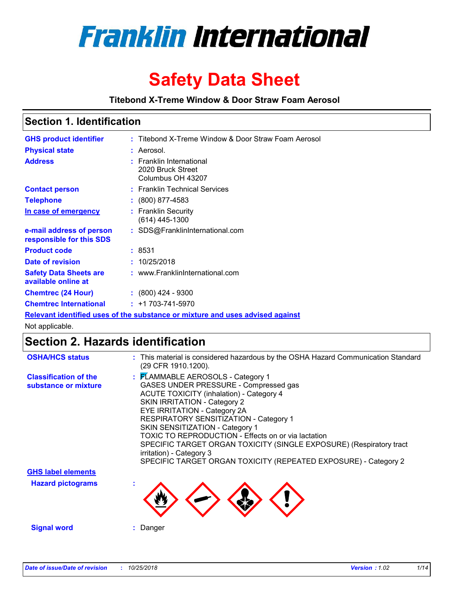

# **Safety Data Sheet**

**Titebond X-Treme Window & Door Straw Foam Aerosol**

### **Section 1. Identification**

| <b>GHS product identifier</b>                        | : Titebond X-Treme Window & Door Straw Foam Aerosol                           |
|------------------------------------------------------|-------------------------------------------------------------------------------|
| <b>Physical state</b>                                | : Aerosol.                                                                    |
| <b>Address</b>                                       | : Franklin International<br>2020 Bruck Street<br>Columbus OH 43207            |
| <b>Contact person</b>                                | : Franklin Technical Services                                                 |
| <b>Telephone</b>                                     | $\colon$ (800) 877-4583                                                       |
| In case of emergency                                 | : Franklin Security<br>$(614)$ 445-1300                                       |
| e-mail address of person<br>responsible for this SDS | : SDS@FranklinInternational.com                                               |
| <b>Product code</b>                                  | : 8531                                                                        |
| Date of revision                                     | : 10/25/2018                                                                  |
| <b>Safety Data Sheets are</b><br>available online at | : www.FranklinInternational.com                                               |
| <b>Chemtrec (24 Hour)</b>                            | $\div$ (800) 424 - 9300                                                       |
| <b>Chemtrec International</b>                        | $: +1703 - 741 - 5970$                                                        |
|                                                      | Relevant identified uses of the substance or mixture and uses advised against |

Not applicable.

# **Section 2. Hazards identification**

| <b>OSHA/HCS status</b>                               | : This material is considered hazardous by the OSHA Hazard Communication Standard<br>(29 CFR 1910.1200).                                                                                                                                                                                                                                                                                                                                                                                                |
|------------------------------------------------------|---------------------------------------------------------------------------------------------------------------------------------------------------------------------------------------------------------------------------------------------------------------------------------------------------------------------------------------------------------------------------------------------------------------------------------------------------------------------------------------------------------|
| <b>Classification of the</b><br>substance or mixture | : FLAMMABLE AEROSOLS - Category 1<br>GASES UNDER PRESSURE - Compressed gas<br><b>ACUTE TOXICITY (inhalation) - Category 4</b><br>SKIN IRRITATION - Category 2<br>EYE IRRITATION - Category 2A<br>RESPIRATORY SENSITIZATION - Category 1<br>SKIN SENSITIZATION - Category 1<br>TOXIC TO REPRODUCTION - Effects on or via lactation<br>SPECIFIC TARGET ORGAN TOXICITY (SINGLE EXPOSURE) (Respiratory tract<br>irritation) - Category 3<br>SPECIFIC TARGET ORGAN TOXICITY (REPEATED EXPOSURE) - Category 2 |
| <b>GHS label elements</b>                            |                                                                                                                                                                                                                                                                                                                                                                                                                                                                                                         |
| <b>Hazard pictograms</b>                             |                                                                                                                                                                                                                                                                                                                                                                                                                                                                                                         |
| <b>Signal word</b>                                   | Danger                                                                                                                                                                                                                                                                                                                                                                                                                                                                                                  |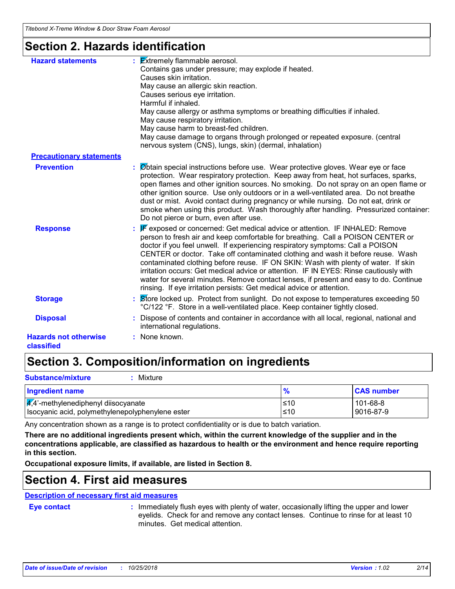### **Section 2. Hazards identification**

| <b>Hazard statements</b>                   | $\frac{1}{2}$ <b>Extremely flammable aerosol.</b><br>Contains gas under pressure; may explode if heated.<br>Causes skin irritation.<br>May cause an allergic skin reaction.<br>Causes serious eye irritation.<br>Harmful if inhaled.<br>May cause allergy or asthma symptoms or breathing difficulties if inhaled.<br>May cause respiratory irritation.<br>May cause harm to breast-fed children.<br>May cause damage to organs through prolonged or repeated exposure. (central<br>nervous system (CNS), lungs, skin) (dermal, inhalation)                                                                                                                                          |
|--------------------------------------------|--------------------------------------------------------------------------------------------------------------------------------------------------------------------------------------------------------------------------------------------------------------------------------------------------------------------------------------------------------------------------------------------------------------------------------------------------------------------------------------------------------------------------------------------------------------------------------------------------------------------------------------------------------------------------------------|
| <b>Precautionary statements</b>            |                                                                                                                                                                                                                                                                                                                                                                                                                                                                                                                                                                                                                                                                                      |
| <b>Prevention</b>                          | Øbtain special instructions before use. Wear protective gloves. Wear eye or face<br>protection. Wear respiratory protection. Keep away from heat, hot surfaces, sparks,<br>open flames and other ignition sources. No smoking. Do not spray on an open flame or<br>other ignition source. Use only outdoors or in a well-ventilated area. Do not breathe<br>dust or mist. Avoid contact during pregnancy or while nursing. Do not eat, drink or<br>smoke when using this product. Wash thoroughly after handling. Pressurized container:<br>Do not pierce or burn, even after use.                                                                                                   |
| <b>Response</b>                            | F exposed or concerned: Get medical advice or attention. IF INHALED: Remove<br>person to fresh air and keep comfortable for breathing. Call a POISON CENTER or<br>doctor if you feel unwell. If experiencing respiratory symptoms: Call a POISON<br>CENTER or doctor. Take off contaminated clothing and wash it before reuse. Wash<br>contaminated clothing before reuse. IF ON SKIN: Wash with plenty of water. If skin<br>irritation occurs: Get medical advice or attention. IF IN EYES: Rinse cautiously with<br>water for several minutes. Remove contact lenses, if present and easy to do. Continue<br>rinsing. If eye irritation persists: Get medical advice or attention. |
| <b>Storage</b>                             | Store locked up. Protect from sunlight. Do not expose to temperatures exceeding 50<br>°C/122 °F. Store in a well-ventilated place. Keep container tightly closed.                                                                                                                                                                                                                                                                                                                                                                                                                                                                                                                    |
| <b>Disposal</b>                            | Dispose of contents and container in accordance with all local, regional, national and<br>international regulations.                                                                                                                                                                                                                                                                                                                                                                                                                                                                                                                                                                 |
| <b>Hazards not otherwise</b><br>classified | : None known.                                                                                                                                                                                                                                                                                                                                                                                                                                                                                                                                                                                                                                                                        |

# **Section 3. Composition/information on ingredients**

| <b>Substance/mixture</b><br>Mixture                                                                  |            |                       |
|------------------------------------------------------------------------------------------------------|------------|-----------------------|
| <b>Ingredient name</b>                                                                               |            | <b>CAS number</b>     |
| $\frac{1}{4}$ ,4'-methylenediphenyl diisocyanate<br>Isocyanic acid, polymethylenepolyphenylene ester | ≤10<br>≤10 | 101-68-8<br>9016-87-9 |

Any concentration shown as a range is to protect confidentiality or is due to batch variation.

**There are no additional ingredients present which, within the current knowledge of the supplier and in the concentrations applicable, are classified as hazardous to health or the environment and hence require reporting in this section.**

**Occupational exposure limits, if available, are listed in Section 8.**

### **Section 4. First aid measures**

### **Description of necessary first aid measures**

**Eye contact :**

: Immediately flush eyes with plenty of water, occasionally lifting the upper and lower eyelids. Check for and remove any contact lenses. Continue to rinse for at least 10 minutes. Get medical attention.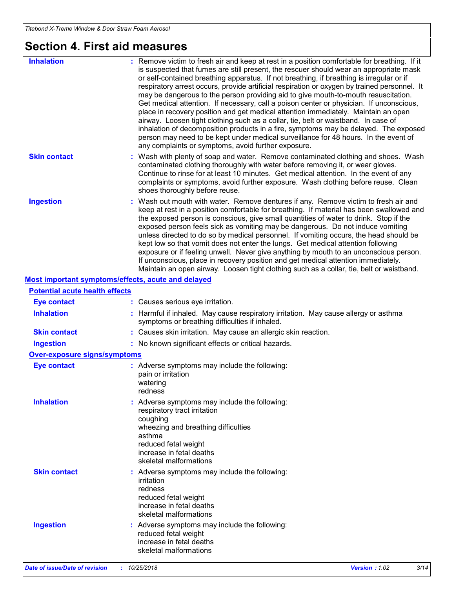# **Section 4. First aid measures**

| <b>Inhalation</b>                     | : Remove victim to fresh air and keep at rest in a position comfortable for breathing. If it<br>is suspected that fumes are still present, the rescuer should wear an appropriate mask<br>or self-contained breathing apparatus. If not breathing, if breathing is irregular or if<br>respiratory arrest occurs, provide artificial respiration or oxygen by trained personnel. It<br>may be dangerous to the person providing aid to give mouth-to-mouth resuscitation.<br>Get medical attention. If necessary, call a poison center or physician. If unconscious,<br>place in recovery position and get medical attention immediately. Maintain an open<br>airway. Loosen tight clothing such as a collar, tie, belt or waistband. In case of<br>inhalation of decomposition products in a fire, symptoms may be delayed. The exposed<br>person may need to be kept under medical surveillance for 48 hours. In the event of<br>any complaints or symptoms, avoid further exposure. |
|---------------------------------------|---------------------------------------------------------------------------------------------------------------------------------------------------------------------------------------------------------------------------------------------------------------------------------------------------------------------------------------------------------------------------------------------------------------------------------------------------------------------------------------------------------------------------------------------------------------------------------------------------------------------------------------------------------------------------------------------------------------------------------------------------------------------------------------------------------------------------------------------------------------------------------------------------------------------------------------------------------------------------------------|
| <b>Skin contact</b>                   | : Wash with plenty of soap and water. Remove contaminated clothing and shoes. Wash<br>contaminated clothing thoroughly with water before removing it, or wear gloves.<br>Continue to rinse for at least 10 minutes. Get medical attention. In the event of any<br>complaints or symptoms, avoid further exposure. Wash clothing before reuse. Clean<br>shoes thoroughly before reuse.                                                                                                                                                                                                                                                                                                                                                                                                                                                                                                                                                                                                 |
| <b>Ingestion</b>                      | : Wash out mouth with water. Remove dentures if any. Remove victim to fresh air and<br>keep at rest in a position comfortable for breathing. If material has been swallowed and<br>the exposed person is conscious, give small quantities of water to drink. Stop if the<br>exposed person feels sick as vomiting may be dangerous. Do not induce vomiting<br>unless directed to do so by medical personnel. If vomiting occurs, the head should be<br>kept low so that vomit does not enter the lungs. Get medical attention following<br>exposure or if feeling unwell. Never give anything by mouth to an unconscious person.<br>If unconscious, place in recovery position and get medical attention immediately.<br>Maintain an open airway. Loosen tight clothing such as a collar, tie, belt or waistband.                                                                                                                                                                     |
|                                       | Most important symptoms/effects, acute and delayed                                                                                                                                                                                                                                                                                                                                                                                                                                                                                                                                                                                                                                                                                                                                                                                                                                                                                                                                    |
| <b>Potential acute health effects</b> |                                                                                                                                                                                                                                                                                                                                                                                                                                                                                                                                                                                                                                                                                                                                                                                                                                                                                                                                                                                       |
| <b>Eye contact</b>                    | : Causes serious eye irritation.                                                                                                                                                                                                                                                                                                                                                                                                                                                                                                                                                                                                                                                                                                                                                                                                                                                                                                                                                      |
| <b>Inhalation</b>                     | : Harmful if inhaled. May cause respiratory irritation. May cause allergy or asthma<br>symptoms or breathing difficulties if inhaled.                                                                                                                                                                                                                                                                                                                                                                                                                                                                                                                                                                                                                                                                                                                                                                                                                                                 |
| <b>Skin contact</b>                   | : Causes skin irritation. May cause an allergic skin reaction.                                                                                                                                                                                                                                                                                                                                                                                                                                                                                                                                                                                                                                                                                                                                                                                                                                                                                                                        |
| <b>Ingestion</b>                      | : No known significant effects or critical hazards.                                                                                                                                                                                                                                                                                                                                                                                                                                                                                                                                                                                                                                                                                                                                                                                                                                                                                                                                   |
| <b>Over-exposure signs/symptoms</b>   |                                                                                                                                                                                                                                                                                                                                                                                                                                                                                                                                                                                                                                                                                                                                                                                                                                                                                                                                                                                       |
| <b>Eye contact</b>                    | : Adverse symptoms may include the following:<br>pain or irritation<br>watering<br>redness                                                                                                                                                                                                                                                                                                                                                                                                                                                                                                                                                                                                                                                                                                                                                                                                                                                                                            |
| <b>Inhalation</b>                     | : Adverse symptoms may include the following:<br>respiratory tract irritation<br>coughing<br>wheezing and breathing difficulties<br>asthma<br>reduced fetal weight<br>increase in fetal deaths<br>skeletal malformations                                                                                                                                                                                                                                                                                                                                                                                                                                                                                                                                                                                                                                                                                                                                                              |
| <b>Skin contact</b>                   | : Adverse symptoms may include the following:<br>irritation<br>redness<br>reduced fetal weight<br>increase in fetal deaths<br>skeletal malformations                                                                                                                                                                                                                                                                                                                                                                                                                                                                                                                                                                                                                                                                                                                                                                                                                                  |
| <b>Ingestion</b>                      | : Adverse symptoms may include the following:<br>reduced fetal weight<br>increase in fetal deaths<br>skeletal malformations                                                                                                                                                                                                                                                                                                                                                                                                                                                                                                                                                                                                                                                                                                                                                                                                                                                           |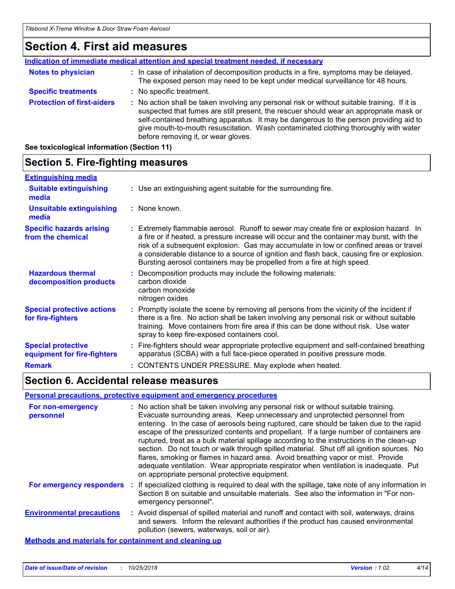### **Section 4. First aid measures**

|                                   | <b>Indication of immediate medical attention and special treatment needed, if necessary</b>                                                                                                                                                                                                                                                                                                                     |
|-----------------------------------|-----------------------------------------------------------------------------------------------------------------------------------------------------------------------------------------------------------------------------------------------------------------------------------------------------------------------------------------------------------------------------------------------------------------|
| <b>Notes to physician</b>         | : In case of inhalation of decomposition products in a fire, symptoms may be delayed.<br>The exposed person may need to be kept under medical surveillance for 48 hours.                                                                                                                                                                                                                                        |
| <b>Specific treatments</b>        | : No specific treatment.                                                                                                                                                                                                                                                                                                                                                                                        |
| <b>Protection of first-aiders</b> | : No action shall be taken involving any personal risk or without suitable training. If it is<br>suspected that fumes are still present, the rescuer should wear an appropriate mask or<br>self-contained breathing apparatus. It may be dangerous to the person providing aid to<br>give mouth-to-mouth resuscitation. Wash contaminated clothing thoroughly with water<br>before removing it, or wear gloves. |

**See toxicological information (Section 11)**

#### **Section 5. Fire-fighting measures :** Promptly isolate the scene by removing all persons from the vicinity of the incident if there is a fire. No action shall be taken involving any personal risk or without suitable **Hazardous thermal decomposition products Specific hazards arising from the chemical** Decomposition products may include the following materials: **:** carbon dioxide carbon monoxide nitrogen oxides Extremely flammable aerosol. Runoff to sewer may create fire or explosion hazard. In **:** a fire or if heated, a pressure increase will occur and the container may burst, with the risk of a subsequent explosion. Gas may accumulate in low or confined areas or travel a considerable distance to a source of ignition and flash back, causing fire or explosion. Bursting aerosol containers may be propelled from a fire at high speed. Use an extinguishing agent suitable for the surrounding fire. **: Extinguishing media :** None known. **Suitable extinguishing media Unsuitable extinguishing media Special protective actions for fire-fighters**

|                                                          | training. Move containers from fire area if this can be done without risk. Use water<br>spray to keep fire-exposed containers cool.                                    |
|----------------------------------------------------------|------------------------------------------------------------------------------------------------------------------------------------------------------------------------|
| <b>Special protective</b><br>equipment for fire-fighters | Fire-fighters should wear appropriate protective equipment and self-contained breathing<br>apparatus (SCBA) with a full face-piece operated in positive pressure mode. |
| <b>Remark</b>                                            | : CONTENTS UNDER PRESSURE. May explode when heated.                                                                                                                    |

### **Section 6. Accidental release measures**

#### **Personal precautions, protective equipment and emergency procedures**

| <b>For non-emergency</b><br>personnel                        | : No action shall be taken involving any personal risk or without suitable training.<br>Evacuate surrounding areas. Keep unnecessary and unprotected personnel from<br>entering. In the case of aerosols being ruptured, care should be taken due to the rapid<br>escape of the pressurized contents and propellant. If a large number of containers are<br>ruptured, treat as a bulk material spillage according to the instructions in the clean-up<br>section. Do not touch or walk through spilled material. Shut off all ignition sources. No<br>flares, smoking or flames in hazard area. Avoid breathing vapor or mist. Provide<br>adequate ventilation. Wear appropriate respirator when ventilation is inadequate. Put<br>on appropriate personal protective equipment. |
|--------------------------------------------------------------|----------------------------------------------------------------------------------------------------------------------------------------------------------------------------------------------------------------------------------------------------------------------------------------------------------------------------------------------------------------------------------------------------------------------------------------------------------------------------------------------------------------------------------------------------------------------------------------------------------------------------------------------------------------------------------------------------------------------------------------------------------------------------------|
| For emergency responders                                     | : If specialized clothing is required to deal with the spillage, take note of any information in<br>Section 8 on suitable and unsuitable materials. See also the information in "For non-<br>emergency personnel".                                                                                                                                                                                                                                                                                                                                                                                                                                                                                                                                                               |
| <b>Environmental precautions</b>                             | : Avoid dispersal of spilled material and runoff and contact with soil, waterways, drains<br>and sewers. Inform the relevant authorities if the product has caused environmental<br>pollution (sewers, waterways, soil or air).                                                                                                                                                                                                                                                                                                                                                                                                                                                                                                                                                  |
| <b>Methods and materials for containment and cleaning up</b> |                                                                                                                                                                                                                                                                                                                                                                                                                                                                                                                                                                                                                                                                                                                                                                                  |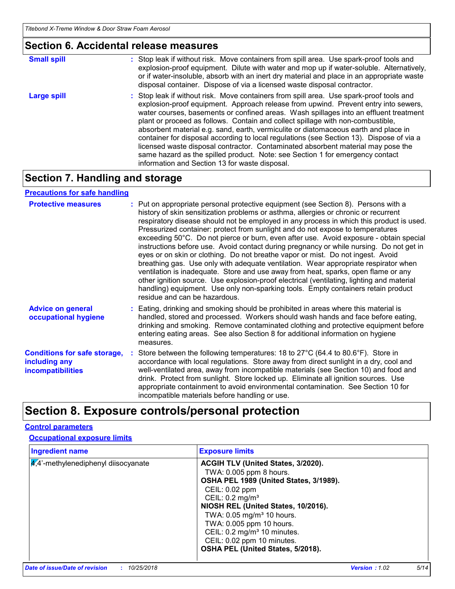### **Section 6. Accidental release measures**

| <b>Small spill</b> | : Stop leak if without risk. Move containers from spill area. Use spark-proof tools and<br>explosion-proof equipment. Dilute with water and mop up if water-soluble. Alternatively,<br>or if water-insoluble, absorb with an inert dry material and place in an appropriate waste<br>disposal container. Dispose of via a licensed waste disposal contractor.                                                                                                                                                                                                                                                                                                                                                                                                        |
|--------------------|----------------------------------------------------------------------------------------------------------------------------------------------------------------------------------------------------------------------------------------------------------------------------------------------------------------------------------------------------------------------------------------------------------------------------------------------------------------------------------------------------------------------------------------------------------------------------------------------------------------------------------------------------------------------------------------------------------------------------------------------------------------------|
| <b>Large spill</b> | : Stop leak if without risk. Move containers from spill area. Use spark-proof tools and<br>explosion-proof equipment. Approach release from upwind. Prevent entry into sewers,<br>water courses, basements or confined areas. Wash spillages into an effluent treatment<br>plant or proceed as follows. Contain and collect spillage with non-combustible,<br>absorbent material e.g. sand, earth, vermiculite or diatomaceous earth and place in<br>container for disposal according to local regulations (see Section 13). Dispose of via a<br>licensed waste disposal contractor. Contaminated absorbent material may pose the<br>same hazard as the spilled product. Note: see Section 1 for emergency contact<br>information and Section 13 for waste disposal. |

### **Section 7. Handling and storage**

### **Precautions for safe handling**

| <b>Protective measures</b>                                                       | : Put on appropriate personal protective equipment (see Section 8). Persons with a<br>history of skin sensitization problems or asthma, allergies or chronic or recurrent<br>respiratory disease should not be employed in any process in which this product is used.<br>Pressurized container: protect from sunlight and do not expose to temperatures<br>exceeding 50°C. Do not pierce or burn, even after use. Avoid exposure - obtain special<br>instructions before use. Avoid contact during pregnancy or while nursing. Do not get in<br>eyes or on skin or clothing. Do not breathe vapor or mist. Do not ingest. Avoid<br>breathing gas. Use only with adequate ventilation. Wear appropriate respirator when<br>ventilation is inadequate. Store and use away from heat, sparks, open flame or any<br>other ignition source. Use explosion-proof electrical (ventilating, lighting and material<br>handling) equipment. Use only non-sparking tools. Empty containers retain product<br>residue and can be hazardous. |
|----------------------------------------------------------------------------------|---------------------------------------------------------------------------------------------------------------------------------------------------------------------------------------------------------------------------------------------------------------------------------------------------------------------------------------------------------------------------------------------------------------------------------------------------------------------------------------------------------------------------------------------------------------------------------------------------------------------------------------------------------------------------------------------------------------------------------------------------------------------------------------------------------------------------------------------------------------------------------------------------------------------------------------------------------------------------------------------------------------------------------|
| <b>Advice on general</b><br>occupational hygiene                                 | : Eating, drinking and smoking should be prohibited in areas where this material is<br>handled, stored and processed. Workers should wash hands and face before eating,<br>drinking and smoking. Remove contaminated clothing and protective equipment before<br>entering eating areas. See also Section 8 for additional information on hygiene<br>measures.                                                                                                                                                                                                                                                                                                                                                                                                                                                                                                                                                                                                                                                                   |
| <b>Conditions for safe storage,</b><br>including any<br><b>incompatibilities</b> | : Store between the following temperatures: 18 to 27°C (64.4 to 80.6°F). Store in<br>accordance with local regulations. Store away from direct sunlight in a dry, cool and<br>well-ventilated area, away from incompatible materials (see Section 10) and food and<br>drink. Protect from sunlight. Store locked up. Eliminate all ignition sources. Use<br>appropriate containment to avoid environmental contamination. See Section 10 for<br>incompatible materials before handling or use.                                                                                                                                                                                                                                                                                                                                                                                                                                                                                                                                  |

# **Section 8. Exposure controls/personal protection**

### **Control parameters**

### **Occupational exposure limits**

| <b>Ingredient name</b>              | <b>Exposure limits</b>                                                                                                                                                                                                                                                                                                                          |
|-------------------------------------|-------------------------------------------------------------------------------------------------------------------------------------------------------------------------------------------------------------------------------------------------------------------------------------------------------------------------------------------------|
| 4,4'-methylenediphenyl diisocyanate | ACGIH TLV (United States, 3/2020).<br>TWA: 0.005 ppm 8 hours.<br>OSHA PEL 1989 (United States, 3/1989).<br>CEIL: 0.02 ppm<br>CEIL: $0.2$ mg/m <sup>3</sup><br>NIOSH REL (United States, 10/2016).<br>TWA: 0.05 mg/m <sup>3</sup> 10 hours.<br>TWA: 0.005 ppm 10 hours.<br>CEIL: 0.2 mg/m <sup>3</sup> 10 minutes.<br>CEIL: 0.02 ppm 10 minutes. |
|                                     | OSHA PEL (United States, 5/2018).                                                                                                                                                                                                                                                                                                               |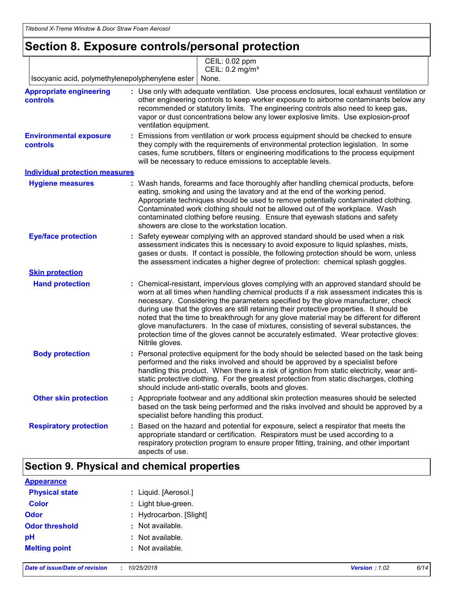### **Section 8. Exposure controls/personal protection**

|                                                   | CEIL: 0.02 ppm<br>CEIL: 0.2 mg/m <sup>3</sup>                                                                                                                                                                                                                                                                                                                                                                                                                                                                                                                                                                                                                   |
|---------------------------------------------------|-----------------------------------------------------------------------------------------------------------------------------------------------------------------------------------------------------------------------------------------------------------------------------------------------------------------------------------------------------------------------------------------------------------------------------------------------------------------------------------------------------------------------------------------------------------------------------------------------------------------------------------------------------------------|
| Isocyanic acid, polymethylenepolyphenylene ester  | None.                                                                                                                                                                                                                                                                                                                                                                                                                                                                                                                                                                                                                                                           |
| <b>Appropriate engineering</b><br><b>controls</b> | : Use only with adequate ventilation. Use process enclosures, local exhaust ventilation or<br>other engineering controls to keep worker exposure to airborne contaminants below any<br>recommended or statutory limits. The engineering controls also need to keep gas,<br>vapor or dust concentrations below any lower explosive limits. Use explosion-proof<br>ventilation equipment.                                                                                                                                                                                                                                                                         |
| <b>Environmental exposure</b><br>controls         | Emissions from ventilation or work process equipment should be checked to ensure<br>÷.<br>they comply with the requirements of environmental protection legislation. In some<br>cases, fume scrubbers, filters or engineering modifications to the process equipment<br>will be necessary to reduce emissions to acceptable levels.                                                                                                                                                                                                                                                                                                                             |
| <b>Individual protection measures</b>             |                                                                                                                                                                                                                                                                                                                                                                                                                                                                                                                                                                                                                                                                 |
| <b>Hygiene measures</b>                           | Wash hands, forearms and face thoroughly after handling chemical products, before<br>eating, smoking and using the lavatory and at the end of the working period.<br>Appropriate techniques should be used to remove potentially contaminated clothing.<br>Contaminated work clothing should not be allowed out of the workplace. Wash<br>contaminated clothing before reusing. Ensure that eyewash stations and safety<br>showers are close to the workstation location.                                                                                                                                                                                       |
| <b>Eye/face protection</b>                        | Safety eyewear complying with an approved standard should be used when a risk<br>assessment indicates this is necessary to avoid exposure to liquid splashes, mists,<br>gases or dusts. If contact is possible, the following protection should be worn, unless<br>the assessment indicates a higher degree of protection: chemical splash goggles.                                                                                                                                                                                                                                                                                                             |
| <b>Skin protection</b>                            |                                                                                                                                                                                                                                                                                                                                                                                                                                                                                                                                                                                                                                                                 |
| <b>Hand protection</b>                            | Chemical-resistant, impervious gloves complying with an approved standard should be<br>worn at all times when handling chemical products if a risk assessment indicates this is<br>necessary. Considering the parameters specified by the glove manufacturer, check<br>during use that the gloves are still retaining their protective properties. It should be<br>noted that the time to breakthrough for any glove material may be different for different<br>glove manufacturers. In the case of mixtures, consisting of several substances, the<br>protection time of the gloves cannot be accurately estimated. Wear protective gloves:<br>Nitrile gloves. |
| <b>Body protection</b>                            | Personal protective equipment for the body should be selected based on the task being<br>performed and the risks involved and should be approved by a specialist before<br>handling this product. When there is a risk of ignition from static electricity, wear anti-<br>static protective clothing. For the greatest protection from static discharges, clothing<br>should include anti-static overalls, boots and gloves.                                                                                                                                                                                                                                    |
| <b>Other skin protection</b>                      | : Appropriate footwear and any additional skin protection measures should be selected<br>based on the task being performed and the risks involved and should be approved by a<br>specialist before handling this product.                                                                                                                                                                                                                                                                                                                                                                                                                                       |
| <b>Respiratory protection</b>                     | Based on the hazard and potential for exposure, select a respirator that meets the<br>appropriate standard or certification. Respirators must be used according to a<br>respiratory protection program to ensure proper fitting, training, and other important<br>aspects of use.                                                                                                                                                                                                                                                                                                                                                                               |

### **Section 9. Physical and chemical properties**

| <b>Appearance</b>     |                         |
|-----------------------|-------------------------|
| <b>Physical state</b> | : Liquid. [Aerosol.]    |
| <b>Color</b>          | : Light blue-green.     |
| <b>Odor</b>           | : Hydrocarbon. [Slight] |
| <b>Odor threshold</b> | : Not available.        |
| pH                    | $:$ Not available.      |
| <b>Melting point</b>  | Not available.          |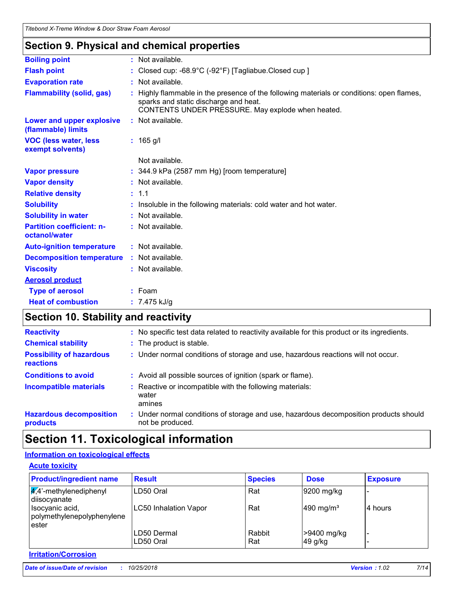# **Section 9. Physical and chemical properties**

| <b>Boiling point</b>                              | : Not available.                                                                                                                                                                      |
|---------------------------------------------------|---------------------------------------------------------------------------------------------------------------------------------------------------------------------------------------|
| <b>Flash point</b>                                | : Closed cup: $-68.9^{\circ}$ C ( $-92^{\circ}$ F) [Tagliabue.Closed cup ]                                                                                                            |
| <b>Evaporation rate</b>                           | : Not available.                                                                                                                                                                      |
| <b>Flammability (solid, gas)</b>                  | Highly flammable in the presence of the following materials or conditions: open flames,<br>sparks and static discharge and heat.<br>CONTENTS UNDER PRESSURE. May explode when heated. |
| Lower and upper explosive<br>(flammable) limits   | : Not available.                                                                                                                                                                      |
| <b>VOC (less water, less)</b><br>exempt solvents) | $: 165$ g/l                                                                                                                                                                           |
|                                                   | Not available.                                                                                                                                                                        |
| <b>Vapor pressure</b>                             | $: 344.9$ kPa (2587 mm Hg) [room temperature]                                                                                                                                         |
| <b>Vapor density</b>                              | : Not available.                                                                                                                                                                      |
| <b>Relative density</b>                           | : 1.1                                                                                                                                                                                 |
| <b>Solubility</b>                                 | Insoluble in the following materials: cold water and hot water.                                                                                                                       |
| <b>Solubility in water</b>                        | : Not available.                                                                                                                                                                      |
| <b>Partition coefficient: n-</b><br>octanol/water | : Not available.                                                                                                                                                                      |
| <b>Auto-ignition temperature</b>                  | : Not available.                                                                                                                                                                      |
| <b>Decomposition temperature</b>                  | : Not available.                                                                                                                                                                      |
| <b>Viscosity</b>                                  | : Not available.                                                                                                                                                                      |
| <b>Aerosol product</b>                            |                                                                                                                                                                                       |
| <b>Type of aerosol</b>                            | $:$ Foam                                                                                                                                                                              |
| <b>Heat of combustion</b>                         | : $7.475$ kJ/g                                                                                                                                                                        |
|                                                   |                                                                                                                                                                                       |

## **Section 10. Stability and reactivity**

| <b>Reactivity</b>                                   | : No specific test data related to reactivity available for this product or its ingredients.              |
|-----------------------------------------------------|-----------------------------------------------------------------------------------------------------------|
| <b>Chemical stability</b>                           | : The product is stable.                                                                                  |
| <b>Possibility of hazardous</b><br><b>reactions</b> | : Under normal conditions of storage and use, hazardous reactions will not occur.                         |
| <b>Conditions to avoid</b>                          | : Avoid all possible sources of ignition (spark or flame).                                                |
| <b>Incompatible materials</b>                       | : Reactive or incompatible with the following materials:<br>water<br>amines                               |
| <b>Hazardous decomposition</b><br>products          | : Under normal conditions of storage and use, hazardous decomposition products should<br>not be produced. |

# **Section 11. Toxicological information**

### **Information on toxicological effects**

| <b>Product/ingredient name</b>                         | <b>Result</b>                | <b>Species</b> | <b>Dose</b>           | <b>Exposure</b> |
|--------------------------------------------------------|------------------------------|----------------|-----------------------|-----------------|
| $\frac{1}{4}$ ,4'-methylenediphenyl<br>diisocyanate    | LD50 Oral                    | Rat            | 9200 mg/kg            |                 |
| Isocyanic acid,<br>polymethylenepolyphenylene<br>ester | <b>LC50 Inhalation Vapor</b> | Rat            | 490 mg/m <sup>3</sup> | 4 hours         |
|                                                        | LD50 Dermal                  | Rabbit         | >9400 mg/kg           |                 |
|                                                        | LD50 Oral                    | Rat            | 49 g/kg               |                 |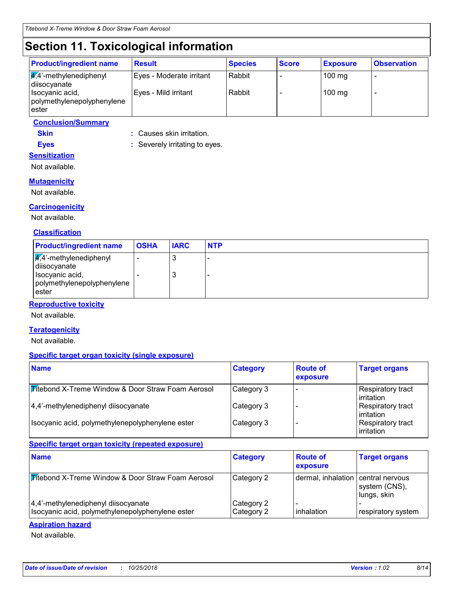# **Section 11. Toxicological information**

**Eyes :** Severely irritating to eyes.

| <b>Product/ingredient name</b>                             | <b>Result</b>            | <b>Species</b> | <b>Score</b> | <b>Exposure</b> | <b>Observation</b> |
|------------------------------------------------------------|--------------------------|----------------|--------------|-----------------|--------------------|
| $\sqrt{4}$ <sup>2</sup> -methylenediphenyl<br>diisocyanate | Eyes - Moderate irritant | Rabbit         |              | $100$ mg        | -                  |
| Isocyanic acid,<br>polymethylenepolyphenylene<br>ester     | Eyes - Mild irritant     | Rabbit         |              | $100$ mg        |                    |

### **Conclusion/Summary**

**Skin :** Causes skin irritation.

### **Sensitization**

Not available.

### **Mutagenicity**

Not available.

### **Carcinogenicity**

Not available.

#### **Classification**

| <b>Product/ingredient name</b>                                                                                       | <b>OSHA</b> | <b>IARC</b> | <b>NTP</b> |
|----------------------------------------------------------------------------------------------------------------------|-------------|-------------|------------|
| $\sqrt{4}$ <sup>2</sup> -methylenediphenyl<br>diisocyanate<br>Isocyanic acid,<br>polymethylenepolyphenylene<br>ester |             | J<br>J      |            |

### **Reproductive toxicity**

Not available.

#### **Teratogenicity**

Not available.

#### **Specific target organ toxicity (single exposure)**

| <b>Name</b>                                                  | <b>Category</b> | <b>Route of</b><br>exposure | <b>Target organs</b>                    |
|--------------------------------------------------------------|-----------------|-----------------------------|-----------------------------------------|
| <b>Mitebond X-Treme Window &amp; Door Straw Foam Aerosol</b> | Category 3      |                             | Respiratory tract<br>l irritation       |
| 4,4'-methylenediphenyl diisocyanate                          | Category 3      |                             | Respiratory tract<br>l irritation       |
| Isocyanic acid, polymethylenepolyphenylene ester             | Category 3      |                             | Respiratory tract<br><b>lirritation</b> |

### **Specific target organ toxicity (repeated exposure)**

| <b>Name</b>                                       | <b>Category</b> | <b>Route of</b><br>exposure        | <b>Target organs</b>         |
|---------------------------------------------------|-----------------|------------------------------------|------------------------------|
| Vitebond X-Treme Window & Door Straw Foam Aerosol | Category 2      | dermal, inhalation central nervous | system (CNS),<br>lungs, skin |
| 4,4'-methylenediphenyl diisocyanate               | Category 2      |                                    |                              |
| Isocyanic acid, polymethylenepolyphenylene ester  | Category 2      | inhalation                         | respiratory system           |

#### **Aspiration hazard**

Not available.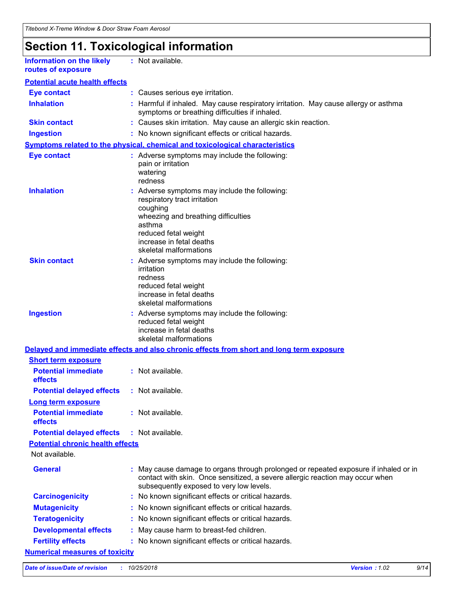# **Section 11. Toxicological information**

| Information on the likely |
|---------------------------|
| routes of exposure        |

**:** Not available.

| <b>Eye contact</b>                           |    | : Causes serious eye irritation.                                                                                                                                                                                         |
|----------------------------------------------|----|--------------------------------------------------------------------------------------------------------------------------------------------------------------------------------------------------------------------------|
| <b>Inhalation</b>                            |    | Harmful if inhaled. May cause respiratory irritation. May cause allergy or asthma<br>symptoms or breathing difficulties if inhaled.                                                                                      |
| <b>Skin contact</b>                          |    | : Causes skin irritation. May cause an allergic skin reaction.                                                                                                                                                           |
| <b>Ingestion</b>                             |    | : No known significant effects or critical hazards.                                                                                                                                                                      |
|                                              |    | Symptoms related to the physical, chemical and toxicological characteristics                                                                                                                                             |
| <b>Eye contact</b>                           |    | : Adverse symptoms may include the following:<br>pain or irritation<br>watering<br>redness                                                                                                                               |
| <b>Inhalation</b>                            |    | : Adverse symptoms may include the following:<br>respiratory tract irritation<br>coughing<br>wheezing and breathing difficulties<br>asthma<br>reduced fetal weight<br>increase in fetal deaths<br>skeletal malformations |
| <b>Skin contact</b>                          |    | : Adverse symptoms may include the following:<br>irritation<br>redness<br>reduced fetal weight<br>increase in fetal deaths<br>skeletal malformations                                                                     |
| <b>Ingestion</b>                             |    | : Adverse symptoms may include the following:<br>reduced fetal weight<br>increase in fetal deaths<br>skeletal malformations                                                                                              |
|                                              |    | Delayed and immediate effects and also chronic effects from short and long term exposure                                                                                                                                 |
| <b>Short term exposure</b>                   |    |                                                                                                                                                                                                                          |
| <b>Potential immediate</b><br>effects        |    | : Not available.                                                                                                                                                                                                         |
| <b>Potential delayed effects</b>             |    | : Not available.                                                                                                                                                                                                         |
| Long term exposure                           |    |                                                                                                                                                                                                                          |
| <b>Potential immediate</b><br><b>effects</b> |    | : Not available.                                                                                                                                                                                                         |
| <b>Potential delayed effects</b>             |    | : Not available.                                                                                                                                                                                                         |
| <b>Potential chronic health effects</b>      |    |                                                                                                                                                                                                                          |
| Not available.                               |    |                                                                                                                                                                                                                          |
| <b>General</b>                               |    | : May cause damage to organs through prolonged or repeated exposure if inhaled or in<br>contact with skin. Once sensitized, a severe allergic reaction may occur when<br>subsequently exposed to very low levels.        |
| <b>Carcinogenicity</b>                       | ÷. | No known significant effects or critical hazards.                                                                                                                                                                        |
| <b>Mutagenicity</b>                          |    | No known significant effects or critical hazards.                                                                                                                                                                        |
| <b>Teratogenicity</b>                        |    | No known significant effects or critical hazards.                                                                                                                                                                        |
| <b>Developmental effects</b>                 |    | May cause harm to breast-fed children.                                                                                                                                                                                   |
| <b>Fertility effects</b>                     |    | No known significant effects or critical hazards.                                                                                                                                                                        |
| <b>Numerical measures of toxicity</b>        |    |                                                                                                                                                                                                                          |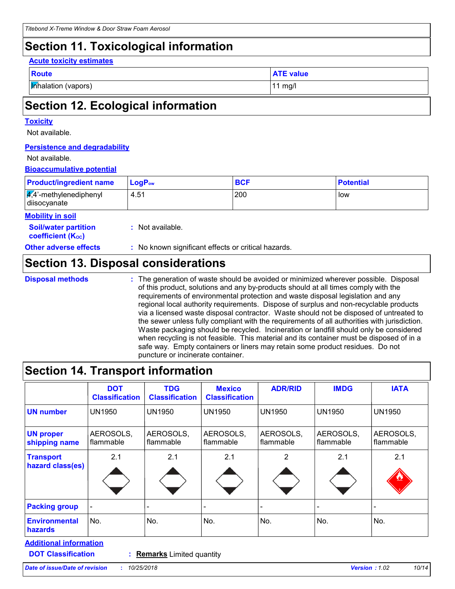### **Section 11. Toxicological information**

#### **Acute toxicity estimates**

| $\sim$ | - - - |  |
|--------|-------|--|
|        |       |  |

**Inhalation (vapors)** 11 mg/l

**ATE value** 

## **Section 12. Ecological information**

#### **Toxicity**

Not available.

#### **Persistence and degradability**

#### Not available.

### **Bioaccumulative potential**

| <b>Product/ingredient name</b>                                     | $LogP_{ow}$      | <b>BCF</b> | <b>Potential</b> |
|--------------------------------------------------------------------|------------------|------------|------------------|
| $\sqrt{4}$ <sup>2</sup> -methylenediphenyl<br>4.51<br>diisocyanate |                  | 200        | low              |
| <b>Mobility in soil</b>                                            |                  |            |                  |
| <b>Soil/water partition</b><br><b>coefficient (Koc)</b>            | : Not available. |            |                  |

**Other adverse effects** : No known significant effects or critical hazards.

### **Section 13. Disposal considerations**

**Disposal methods :**

The generation of waste should be avoided or minimized wherever possible. Disposal of this product, solutions and any by-products should at all times comply with the requirements of environmental protection and waste disposal legislation and any regional local authority requirements. Dispose of surplus and non-recyclable products via a licensed waste disposal contractor. Waste should not be disposed of untreated to the sewer unless fully compliant with the requirements of all authorities with jurisdiction. Waste packaging should be recycled. Incineration or landfill should only be considered when recycling is not feasible. This material and its container must be disposed of in a safe way. Empty containers or liners may retain some product residues. Do not puncture or incinerate container.

### **Section 14. Transport information**

| <b>DOT</b><br><b>Classification</b> | <b>TDG</b><br><b>Classification</b> | <b>Mexico</b><br><b>Classification</b> | <b>ADR/RID</b>         | <b>IMDG</b>            | <b>IATA</b>            |
|-------------------------------------|-------------------------------------|----------------------------------------|------------------------|------------------------|------------------------|
| <b>UN1950</b>                       | <b>UN1950</b>                       | <b>UN1950</b>                          | <b>UN1950</b>          | <b>UN1950</b>          | <b>UN1950</b>          |
| AEROSOLS,<br>flammable              | AEROSOLS,<br>flammable              | AEROSOLS,<br>flammable                 | AEROSOLS,<br>flammable | AEROSOLS,<br>flammable | AEROSOLS,<br>flammable |
| 2.1                                 | 2.1                                 | 2.1                                    | 2                      | 2.1                    | 2.1                    |
|                                     |                                     |                                        |                        | -                      |                        |
| No.                                 | No.                                 | No.                                    | No.                    | No.                    | No.                    |
|                                     |                                     |                                        |                        |                        |                        |

**DOT Classification :**

**Remarks** Limited quantity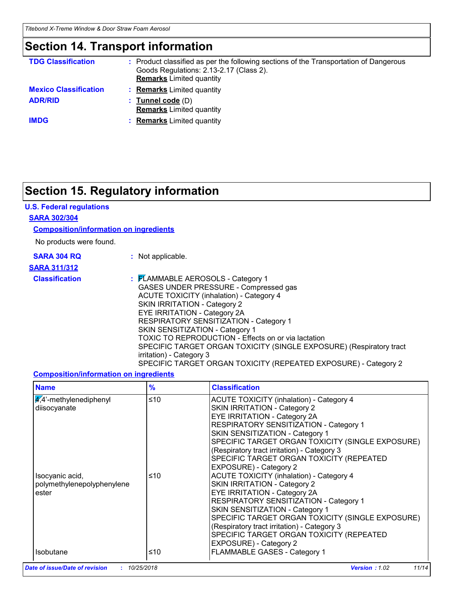### **Section 14. Transport information**

| <b>TDG Classification</b>    | Product classified as per the following sections of the Transportation of Dangerous<br>Goods Regulations: 2.13-2.17 (Class 2).<br><b>Remarks</b> Limited quantity |
|------------------------------|-------------------------------------------------------------------------------------------------------------------------------------------------------------------|
| <b>Mexico Classification</b> | <b>Remarks</b> Limited quantity                                                                                                                                   |
| <b>ADR/RID</b>               | <b>Tunnel code</b> (D)<br><b>Remarks</b> Limited quantity                                                                                                         |
| <b>IMDG</b>                  | <b>Remarks</b> Limited quantity                                                                                                                                   |

### **Section 15. Regulatory information**

### **U.S. Federal regulations**

#### **SARA 302/304**

#### **Composition/information on ingredients**

No products were found.

| <b>SARA 304 RQ</b> |  |  |
|--------------------|--|--|
| ---- <i>----</i>   |  |  |

**:** Not applicable.

### **SARA 311/312**

**Classification :** FLAMMABLE AEROSOLS - Category 1 GASES UNDER PRESSURE - Compressed gas ACUTE TOXICITY (inhalation) - Category 4 SKIN IRRITATION - Category 2 EYE IRRITATION - Category 2A RESPIRATORY SENSITIZATION - Category 1 SKIN SENSITIZATION - Category 1 TOXIC TO REPRODUCTION - Effects on or via lactation SPECIFIC TARGET ORGAN TOXICITY (SINGLE EXPOSURE) (Respiratory tract irritation) - Category 3 SPECIFIC TARGET ORGAN TOXICITY (REPEATED EXPOSURE) - Category 2

#### **Composition/information on ingredients**

| <b>Name</b>                                            | $\frac{9}{6}$ | <b>Classification</b>                                                                                                                                                                                                                                                                                                                                                        |
|--------------------------------------------------------|---------------|------------------------------------------------------------------------------------------------------------------------------------------------------------------------------------------------------------------------------------------------------------------------------------------------------------------------------------------------------------------------------|
| $\frac{4}{4}$ -methylenediphenyl<br>diisocyanate       | ≤10           | <b>ACUTE TOXICITY (inhalation) - Category 4</b><br>SKIN IRRITATION - Category 2<br><b>EYE IRRITATION - Category 2A</b><br>RESPIRATORY SENSITIZATION - Category 1<br>SKIN SENSITIZATION - Category 1<br>SPECIFIC TARGET ORGAN TOXICITY (SINGLE EXPOSURE)<br>(Respiratory tract irritation) - Category 3<br>SPECIFIC TARGET ORGAN TOXICITY (REPEATED<br>EXPOSURE) - Category 2 |
| Isocyanic acid,<br>polymethylenepolyphenylene<br>ester | ≤10           | <b>ACUTE TOXICITY (inhalation) - Category 4</b><br>SKIN IRRITATION - Category 2<br><b>EYE IRRITATION - Category 2A</b><br>RESPIRATORY SENSITIZATION - Category 1<br>SKIN SENSITIZATION - Category 1<br>SPECIFIC TARGET ORGAN TOXICITY (SINGLE EXPOSURE)<br>(Respiratory tract irritation) - Category 3<br>SPECIFIC TARGET ORGAN TOXICITY (REPEATED<br>EXPOSURE) - Category 2 |
| <b>Isobutane</b>                                       | ≤10           | FLAMMABLE GASES - Category 1                                                                                                                                                                                                                                                                                                                                                 |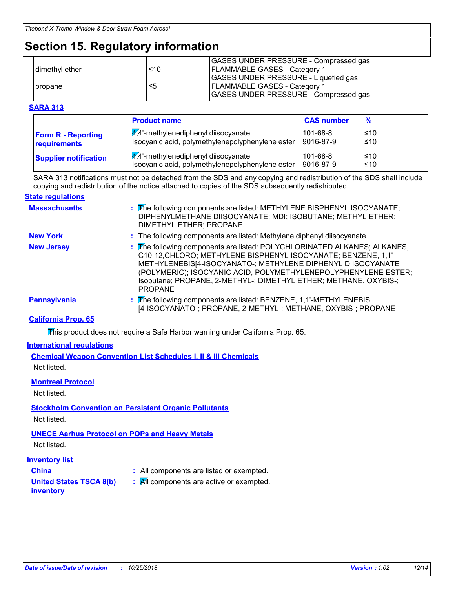### **Section 15. Regulatory information**

|                  |     | GASES UNDER PRESSURE - Compressed gas |
|------------------|-----|---------------------------------------|
| I dimethyl ether | ≤10 | <b>FLAMMABLE GASES - Category 1</b>   |
|                  |     | GASES UNDER PRESSURE - Liquefied gas  |
| propane          | ≤5  | <b>FLAMMABLE GASES - Category 1</b>   |
|                  |     | GASES UNDER PRESSURE - Compressed gas |

#### **SARA 313**

|                              | <b>Product name</b>                              | <b>CAS number</b> | $\frac{9}{6}$ |
|------------------------------|--------------------------------------------------|-------------------|---------------|
| <b>Form R - Reporting</b>    | $\frac{1}{4}$ ,4'-methylenediphenyl diisocyanate | $101 - 68 - 8$    | l≤10          |
| requirements                 | Isocyanic acid, polymethylenepolyphenylene ester | 9016-87-9         | ≤10           |
| <b>Supplier notification</b> | $\sqrt{4}$ ,4'-methylenediphenyl diisocyanate    | $101 - 68 - 8$    | l≤10          |
|                              | Isocyanic acid, polymethylenepolyphenylene ester | 9016-87-9         | l≤10          |

SARA 313 notifications must not be detached from the SDS and any copying and redistribution of the SDS shall include copying and redistribution of the notice attached to copies of the SDS subsequently redistributed.

#### **State regulations**

| <b>Massachusetts</b> | : The following components are listed: METHYLENE BISPHENYL ISOCYANATE;<br>DIPHENYLMETHANE DIISOCYANATE; MDI; ISOBUTANE; METHYL ETHER;<br>DIMETHYL ETHER; PROPANE                                                                                                                                                                                                  |
|----------------------|-------------------------------------------------------------------------------------------------------------------------------------------------------------------------------------------------------------------------------------------------------------------------------------------------------------------------------------------------------------------|
| <b>New York</b>      | : The following components are listed: Methylene diphenyl diisocyanate                                                                                                                                                                                                                                                                                            |
| <b>New Jersey</b>    | : The following components are listed: POLYCHLORINATED ALKANES; ALKANES,<br>C10-12, CHLORO; METHYLENE BISPHENYL ISOCYANATE; BENZENE, 1,1'-<br>METHYLENEBIS[4-ISOCYANATO-; METHYLENE DIPHENYL DIISOCYANATE<br>(POLYMERIC); ISOCYANIC ACID, POLYMETHYLENEPOLYPHENYLENE ESTER;<br>Isobutane; PROPANE, 2-METHYL-; DIMETHYL ETHER; METHANE, OXYBIS-;<br><b>PROPANE</b> |
| <b>Pennsylvania</b>  | : The following components are listed: BENZENE, 1,1'-METHYLENEBIS<br>[4-ISOCYANATO-; PROPANE, 2-METHYL-; METHANE, OXYBIS-; PROPANE                                                                                                                                                                                                                                |

### **California Prop. 65**

This product does not require a Safe Harbor warning under California Prop. 65.

#### **International regulations**

**Chemical Weapon Convention List Schedules I, II & III Chemicals** Not listed.

#### **Montreal Protocol**

Not listed.

### **Stockholm Convention on Persistent Organic Pollutants**

Not listed.

### **UNECE Aarhus Protocol on POPs and Heavy Metals**

Not listed.

### **Inventory list**

- 
- **China :** All components are listed or exempted.
- **United States TSCA 8(b)**
- **:** All components are active or exempted.

### **inventory**

*Date of issue/Date of revision* **:** *10/25/2018 Version : 1.02 12/14*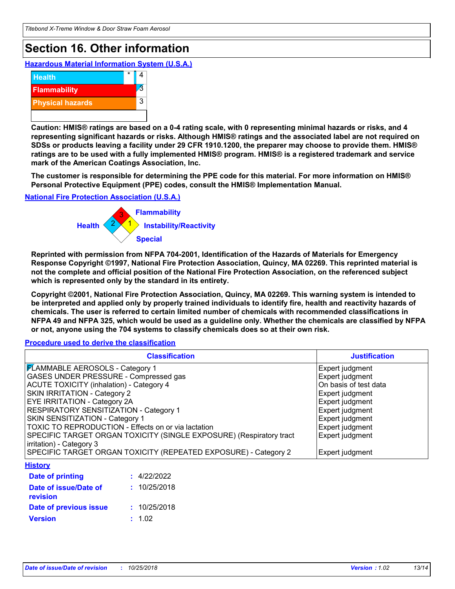# **Section 16. Other information**

**Hazardous Material Information System (U.S.A.)**



**Caution: HMIS® ratings are based on a 0-4 rating scale, with 0 representing minimal hazards or risks, and 4 representing significant hazards or risks. Although HMIS® ratings and the associated label are not required on SDSs or products leaving a facility under 29 CFR 1910.1200, the preparer may choose to provide them. HMIS® ratings are to be used with a fully implemented HMIS® program. HMIS® is a registered trademark and service mark of the American Coatings Association, Inc.**

**The customer is responsible for determining the PPE code for this material. For more information on HMIS® Personal Protective Equipment (PPE) codes, consult the HMIS® Implementation Manual.**

**National Fire Protection Association (U.S.A.)**



**Reprinted with permission from NFPA 704-2001, Identification of the Hazards of Materials for Emergency Response Copyright ©1997, National Fire Protection Association, Quincy, MA 02269. This reprinted material is not the complete and official position of the National Fire Protection Association, on the referenced subject which is represented only by the standard in its entirety.**

**Copyright ©2001, National Fire Protection Association, Quincy, MA 02269. This warning system is intended to be interpreted and applied only by properly trained individuals to identify fire, health and reactivity hazards of chemicals. The user is referred to certain limited number of chemicals with recommended classifications in NFPA 49 and NFPA 325, which would be used as a guideline only. Whether the chemicals are classified by NFPA or not, anyone using the 704 systems to classify chemicals does so at their own risk.**

**Procedure used to derive the classification**

| <b>Classification</b>                                               | <b>Justification</b>  |
|---------------------------------------------------------------------|-----------------------|
| <b>FLAMMABLE AEROSOLS - Category 1</b>                              | Expert judgment       |
| GASES UNDER PRESSURE - Compressed gas                               | Expert judgment       |
| <b>ACUTE TOXICITY (inhalation) - Category 4</b>                     | On basis of test data |
| <b>SKIN IRRITATION - Category 2</b>                                 | Expert judgment       |
| <b>EYE IRRITATION - Category 2A</b>                                 | Expert judgment       |
| RESPIRATORY SENSITIZATION - Category 1                              | Expert judgment       |
| SKIN SENSITIZATION - Category 1                                     | Expert judgment       |
| TOXIC TO REPRODUCTION - Effects on or via lactation                 | Expert judgment       |
| SPECIFIC TARGET ORGAN TOXICITY (SINGLE EXPOSURE) (Respiratory tract | Expert judgment       |
| irritation) - Category 3                                            |                       |
| SPECIFIC TARGET ORGAN TOXICITY (REPEATED EXPOSURE) - Category 2     | Expert judgment       |
| <b>History</b>                                                      |                       |
| : 4/22/2022<br><b>Date of printing</b>                              |                       |
| Date of issue/Date of<br>: 10/25/2018<br>revision                   |                       |